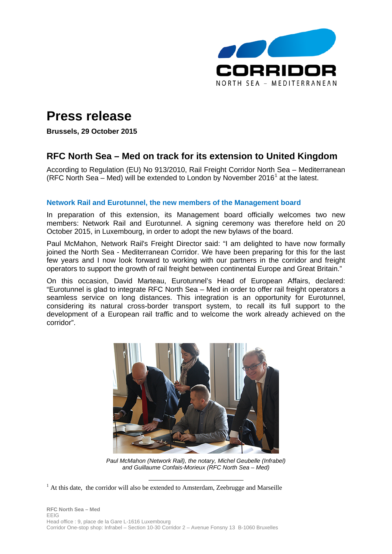

# **Press release**

**Brussels, 29 October 2015**

## **RFC North Sea – Med on track for its extension to United Kingdom**

According to Regulation (EU) No 913/2010, Rail Freight Corridor North Sea – Mediterranean (RFC North Sea – Med) will be extended to London by November 20[1](#page-0-0)6<sup>1</sup> at the latest.

### **Network Rail and Eurotunnel, the new members of the Management board**

In preparation of this extension, its Management board officially welcomes two new members: Network Rail and Eurotunnel. A signing ceremony was therefore held on 20 October 2015, in Luxembourg, in order to adopt the new bylaws of the board.

Paul McMahon, Network Rail's Freight Director said: "I am delighted to have now formally joined the North Sea - Mediterranean Corridor. We have been preparing for this for the last few years and I now look forward to working with our partners in the corridor and freight operators to support the growth of rail freight between continental Europe and Great Britain."

On this occasion, David Marteau, Eurotunnel's Head of European Affairs, declared: "Eurotunnel is glad to integrate RFC North Sea – Med in order to offer rail freight operators a seamless service on long distances. This integration is an opportunity for Eurotunnel, considering its natural cross-border transport system, to recall its full support to the development of a European rail traffic and to welcome the work already achieved on the corridor".



*Paul McMahon (Network Rail), the notary, Michel Geubelle (Infrabel) and Guillaume Confais-Morieux (RFC North Sea – Med)*

 $\overline{\phantom{a}}$ 

<span id="page-0-1"></span><span id="page-0-0"></span><sup>&</sup>lt;sup>1</sup> At this date, the corridor will also be extended to Amsterdam, Zeebrugge and Marseille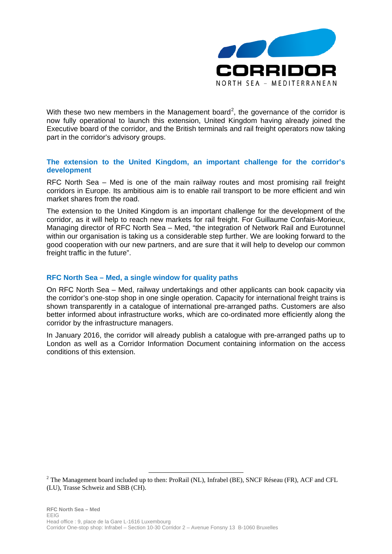

With these two new members in the Management board<sup>[2](#page-0-1)</sup>, the governance of the corridor is now fully operational to launch this extension, United Kingdom having already joined the Executive board of the corridor, and the British terminals and rail freight operators now taking part in the corridor's advisory groups.

### **The extension to the United Kingdom, an important challenge for the corridor's development**

RFC North Sea – Med is one of the main railway routes and most promising rail freight corridors in Europe. Its ambitious aim is to enable rail transport to be more efficient and win market shares from the road.

The extension to the United Kingdom is an important challenge for the development of the corridor, as it will help to reach new markets for rail freight. For Guillaume Confais-Morieux, Managing director of RFC North Sea – Med, "the integration of Network Rail and Eurotunnel within our organisation is taking us a considerable step further. We are looking forward to the good cooperation with our new partners, and are sure that it will help to develop our common freight traffic in the future".

#### **RFC North Sea – Med, a single window for quality paths**

On RFC North Sea – Med, railway undertakings and other applicants can book capacity via the corridor's one-stop shop in one single operation. Capacity for international freight trains is shown transparently in a catalogue of international pre-arranged paths. Customers are also better informed about infrastructure works, which are co-ordinated more efficiently along the corridor by the infrastructure managers.

In January 2016, the corridor will already publish a catalogue with pre-arranged paths up to London as well as a Corridor Information Document containing information on the access conditions of this extension.

 $\overline{\phantom{a}}$ 

<sup>&</sup>lt;sup>2</sup> The Management board included up to then: ProRail (NL), Infrabel (BE), SNCF Réseau (FR), ACF and CFL (LU), Trasse Schweiz and SBB (CH).